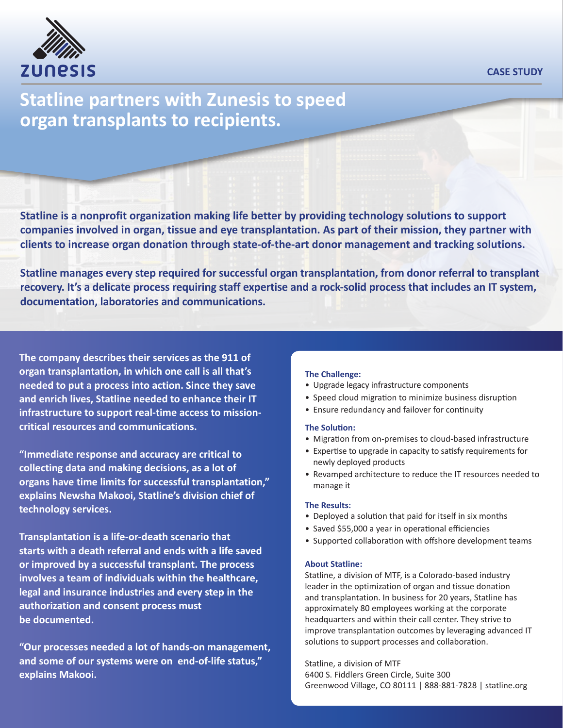

### **CASE STUDY**

# **Statline partners with Zunesis to speed organ transplants to recipients.**

**Statline is a nonprofit organization making life better by providing technology solutions to support companies involved in organ, tissue and eye transplantation. As part of their mission, they partner with clients to increase organ donation through state-of-the-art donor management and tracking solutions.**

**Statline manages every step required for successful organ transplantation, from donor referral to transplant recovery. It's a delicate process requiring staff expertise and a rock-solid process that includes an IT system, documentation, laboratories and communications.** 

**The company describes their services as the 911 of organ transplantation, in which one call is all that's needed to put a process into action. Since they save and enrich lives, Statline needed to enhance their IT infrastructure to support real-time access to missioncritical resources and communications.** 

**"Immediate response and accuracy are critical to collecting data and making decisions, as a lot of organs have time limits for successful transplantation," explains Newsha Makooi, Statline's division chief of technology services.**

**Transplantation is a life-or-death scenario that starts with a death referral and ends with a life saved or improved by a successful transplant. The process involves a team of individuals within the healthcare, legal and insurance industries and every step in the authorization and consent process must be documented.**

**"Our processes needed a lot of hands-on management, and some of our systems were on end-of-life status," explains Makooi.**

### **The Challenge:**

- Upgrade legacy infrastructure components
- Speed cloud migration to minimize business disruption
- Ensure redundancy and failover for continuity

### **The Solution:**

- Migration from on-premises to cloud-based infrastructure
- Expertise to upgrade in capacity to satisfy requirements for newly deployed products
- Revamped architecture to reduce the IT resources needed to manage it

### **The Results:**

- Deployed a solution that paid for itself in six months
- Saved \$55,000 a year in operational efficiencies
- Supported collaboration with offshore development teams

### **About Statline:**

Statline, a division of MTF, is a Colorado-based industry leader in the optimization of organ and tissue donation and transplantation. In business for 20 years, Statline has approximately 80 employees working at the corporate headquarters and within their call center. They strive to improve transplantation outcomes by leveraging advanced IT solutions to support processes and collaboration.

Statline, a division of MTF

6400 S. Fiddlers Green Circle, Suite 300 Greenwood Village, CO 80111 | 888-881-7828 | statline.org